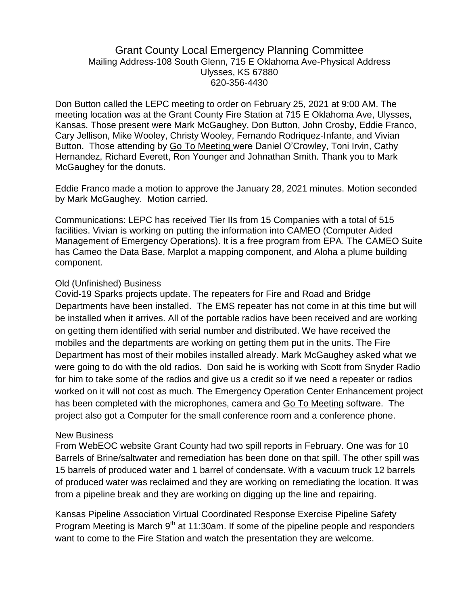## Grant County Local Emergency Planning Committee Mailing Address-108 South Glenn, 715 E Oklahoma Ave-Physical Address Ulysses, KS 67880 620-356-4430

Don Button called the LEPC meeting to order on February 25, 2021 at 9:00 AM. The meeting location was at the Grant County Fire Station at 715 E Oklahoma Ave, Ulysses, Kansas. Those present were Mark McGaughey, Don Button, John Crosby, Eddie Franco, Cary Jellison, Mike Wooley, Christy Wooley, Fernando Rodriquez-Infante, and Vivian Button. Those attending by Go To Meeting were Daniel O'Crowley, Toni Irvin, Cathy Hernandez, Richard Everett, Ron Younger and Johnathan Smith. Thank you to Mark McGaughey for the donuts.

Eddie Franco made a motion to approve the January 28, 2021 minutes. Motion seconded by Mark McGaughey. Motion carried.

Communications: LEPC has received Tier IIs from 15 Companies with a total of 515 facilities. Vivian is working on putting the information into CAMEO (Computer Aided Management of Emergency Operations). It is a free program from EPA. The CAMEO Suite has Cameo the Data Base, Marplot a mapping component, and Aloha a plume building component.

### Old (Unfinished) Business

Covid-19 Sparks projects update. The repeaters for Fire and Road and Bridge Departments have been installed. The EMS repeater has not come in at this time but will be installed when it arrives. All of the portable radios have been received and are working on getting them identified with serial number and distributed. We have received the mobiles and the departments are working on getting them put in the units. The Fire Department has most of their mobiles installed already. Mark McGaughey asked what we were going to do with the old radios. Don said he is working with Scott from Snyder Radio for him to take some of the radios and give us a credit so if we need a repeater or radios worked on it will not cost as much. The Emergency Operation Center Enhancement project has been completed with the microphones, camera and Go To Meeting software. The project also got a Computer for the small conference room and a conference phone.

### New Business

From WebEOC website Grant County had two spill reports in February. One was for 10 Barrels of Brine/saltwater and remediation has been done on that spill. The other spill was 15 barrels of produced water and 1 barrel of condensate. With a vacuum truck 12 barrels of produced water was reclaimed and they are working on remediating the location. It was from a pipeline break and they are working on digging up the line and repairing.

Kansas Pipeline Association Virtual Coordinated Response Exercise Pipeline Safety Program Meeting is March  $9<sup>th</sup>$  at 11:30am. If some of the pipeline people and responders want to come to the Fire Station and watch the presentation they are welcome.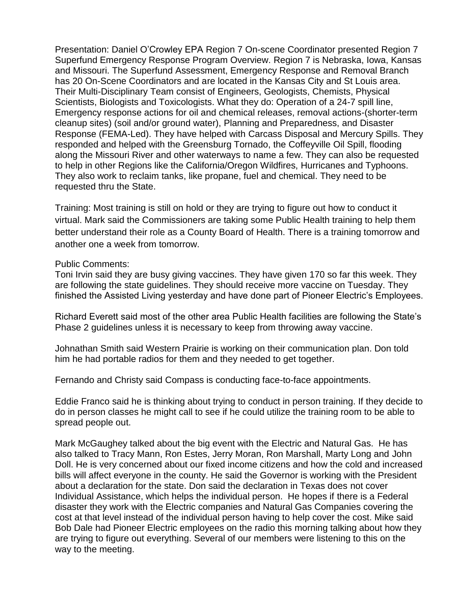Presentation: Daniel O'Crowley EPA Region 7 On-scene Coordinator presented Region 7 Superfund Emergency Response Program Overview. Region 7 is Nebraska, Iowa, Kansas and Missouri. The Superfund Assessment, Emergency Response and Removal Branch has 20 On-Scene Coordinators and are located in the Kansas City and St Louis area. Their Multi-Disciplinary Team consist of Engineers, Geologists, Chemists, Physical Scientists, Biologists and Toxicologists. What they do: Operation of a 24-7 spill line, Emergency response actions for oil and chemical releases, removal actions-(shorter-term cleanup sites) (soil and/or ground water), Planning and Preparedness, and Disaster Response (FEMA-Led). They have helped with Carcass Disposal and Mercury Spills. They responded and helped with the Greensburg Tornado, the Coffeyville Oil Spill, flooding along the Missouri River and other waterways to name a few. They can also be requested to help in other Regions like the California/Oregon Wildfires, Hurricanes and Typhoons. They also work to reclaim tanks, like propane, fuel and chemical. They need to be requested thru the State.

Training: Most training is still on hold or they are trying to figure out how to conduct it virtual. Mark said the Commissioners are taking some Public Health training to help them better understand their role as a County Board of Health. There is a training tomorrow and another one a week from tomorrow.

#### Public Comments:

Toni Irvin said they are busy giving vaccines. They have given 170 so far this week. They are following the state guidelines. They should receive more vaccine on Tuesday. They finished the Assisted Living yesterday and have done part of Pioneer Electric's Employees.

Richard Everett said most of the other area Public Health facilities are following the State's Phase 2 guidelines unless it is necessary to keep from throwing away vaccine.

Johnathan Smith said Western Prairie is working on their communication plan. Don told him he had portable radios for them and they needed to get together.

Fernando and Christy said Compass is conducting face-to-face appointments.

Eddie Franco said he is thinking about trying to conduct in person training. If they decide to do in person classes he might call to see if he could utilize the training room to be able to spread people out.

Mark McGaughey talked about the big event with the Electric and Natural Gas. He has also talked to Tracy Mann, Ron Estes, Jerry Moran, Ron Marshall, Marty Long and John Doll. He is very concerned about our fixed income citizens and how the cold and increased bills will affect everyone in the county. He said the Governor is working with the President about a declaration for the state. Don said the declaration in Texas does not cover Individual Assistance, which helps the individual person. He hopes if there is a Federal disaster they work with the Electric companies and Natural Gas Companies covering the cost at that level instead of the individual person having to help cover the cost. Mike said Bob Dale had Pioneer Electric employees on the radio this morning talking about how they are trying to figure out everything. Several of our members were listening to this on the way to the meeting.